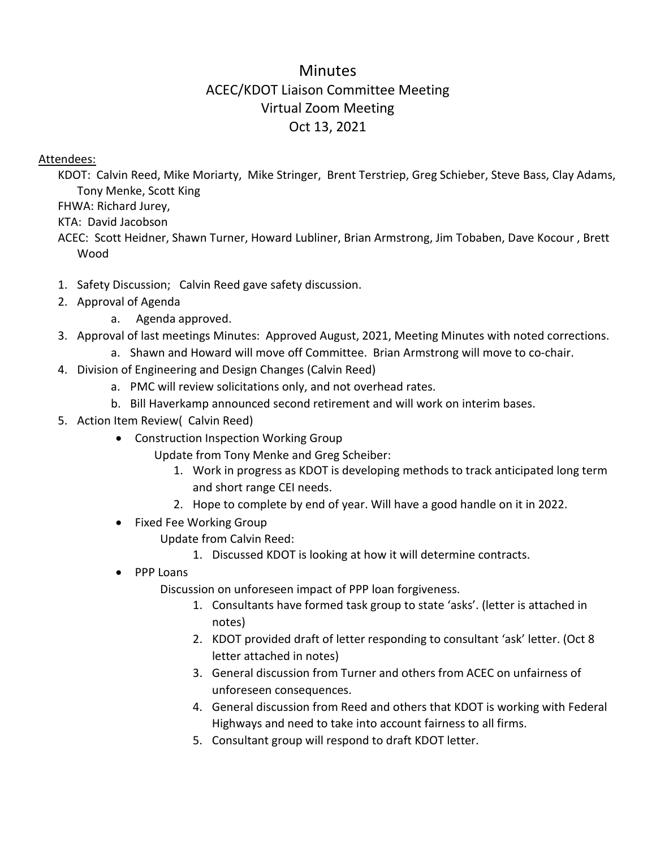# Minutes ACEC/KDOT Liaison Committee Meeting Virtual Zoom Meeting Oct 13, 2021

### Attendees:

KDOT: Calvin Reed, Mike Moriarty, Mike Stringer, Brent Terstriep, Greg Schieber, Steve Bass, Clay Adams, Tony Menke, Scott King

FHWA: Richard Jurey,

KTA: David Jacobson

ACEC: Scott Heidner, Shawn Turner, Howard Lubliner, Brian Armstrong, Jim Tobaben, Dave Kocour , Brett Wood

- 1. Safety Discussion; Calvin Reed gave safety discussion.
- 2. Approval of Agenda
	- a. Agenda approved.
- 3. Approval of last meetings Minutes: Approved August, 2021, Meeting Minutes with noted corrections.
	- a. Shawn and Howard will move off Committee. Brian Armstrong will move to co-chair.
- 4. Division of Engineering and Design Changes (Calvin Reed)
	- a. PMC will review solicitations only, and not overhead rates.
	- b. Bill Haverkamp announced second retirement and will work on interim bases.
- 5. Action Item Review( Calvin Reed)
	- Construction Inspection Working Group
		- Update from Tony Menke and Greg Scheiber:
			- 1. Work in progress as KDOT is developing methods to track anticipated long term and short range CEI needs.
			- 2. Hope to complete by end of year. Will have a good handle on it in 2022.
	- Fixed Fee Working Group
		- Update from Calvin Reed:
			- 1. Discussed KDOT is looking at how it will determine contracts.
	- PPP Loans

Discussion on unforeseen impact of PPP loan forgiveness.

- 1. Consultants have formed task group to state 'asks'. (letter is attached in notes)
- 2. KDOT provided draft of letter responding to consultant 'ask' letter. (Oct 8 letter attached in notes)
- 3. General discussion from Turner and others from ACEC on unfairness of unforeseen consequences.
- 4. General discussion from Reed and others that KDOT is working with Federal Highways and need to take into account fairness to all firms.
- 5. Consultant group will respond to draft KDOT letter.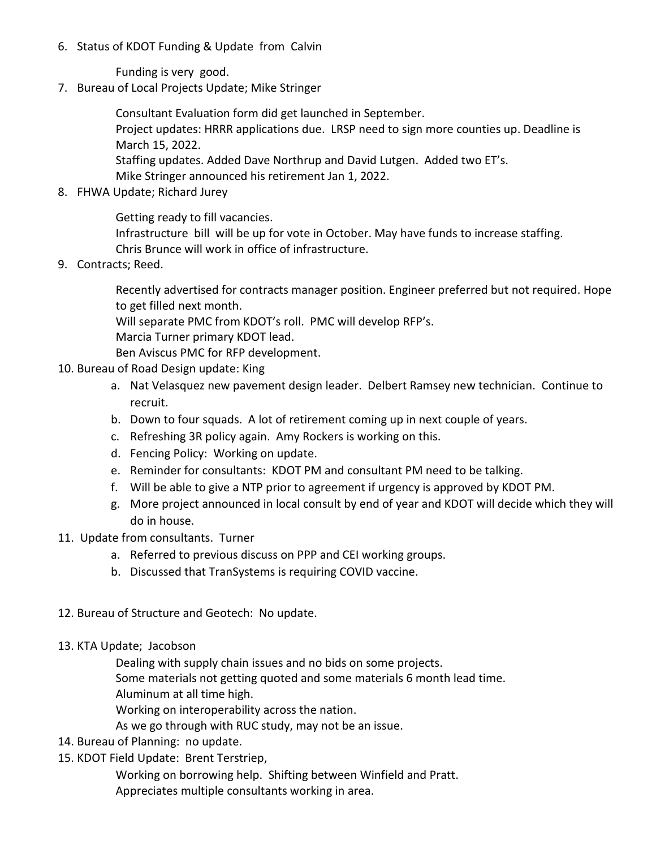6. Status of KDOT Funding & Update from Calvin

Funding is very good.

7. Bureau of Local Projects Update; Mike Stringer

Consultant Evaluation form did get launched in September.

Project updates: HRRR applications due. LRSP need to sign more counties up. Deadline is March 15, 2022.

Staffing updates. Added Dave Northrup and David Lutgen. Added two ET's. Mike Stringer announced his retirement Jan 1, 2022.

8. FHWA Update; Richard Jurey

Getting ready to fill vacancies.

Infrastructure bill will be up for vote in October. May have funds to increase staffing. Chris Brunce will work in office of infrastructure.

9. Contracts; Reed.

Recently advertised for contracts manager position. Engineer preferred but not required. Hope to get filled next month.

Will separate PMC from KDOT's roll. PMC will develop RFP's.

Marcia Turner primary KDOT lead.

Ben Aviscus PMC for RFP development.

- 10. Bureau of Road Design update: King
	- a. Nat Velasquez new pavement design leader. Delbert Ramsey new technician. Continue to recruit.
	- b. Down to four squads. A lot of retirement coming up in next couple of years.
	- c. Refreshing 3R policy again. Amy Rockers is working on this.
	- d. Fencing Policy: Working on update.
	- e. Reminder for consultants: KDOT PM and consultant PM need to be talking.
	- f. Will be able to give a NTP prior to agreement if urgency is approved by KDOT PM.
	- g. More project announced in local consult by end of year and KDOT will decide which they will do in house.
- 11. Update from consultants. Turner
	- a. Referred to previous discuss on PPP and CEI working groups.
	- b. Discussed that TranSystems is requiring COVID vaccine.
- 12. Bureau of Structure and Geotech: No update.
- 13. KTA Update; Jacobson

Dealing with supply chain issues and no bids on some projects.

Some materials not getting quoted and some materials 6 month lead time.

Aluminum at all time high.

Working on interoperability across the nation.

As we go through with RUC study, may not be an issue.

- 14. Bureau of Planning: no update.
- 15. KDOT Field Update: Brent Terstriep,

Working on borrowing help. Shifting between Winfield and Pratt.

Appreciates multiple consultants working in area.